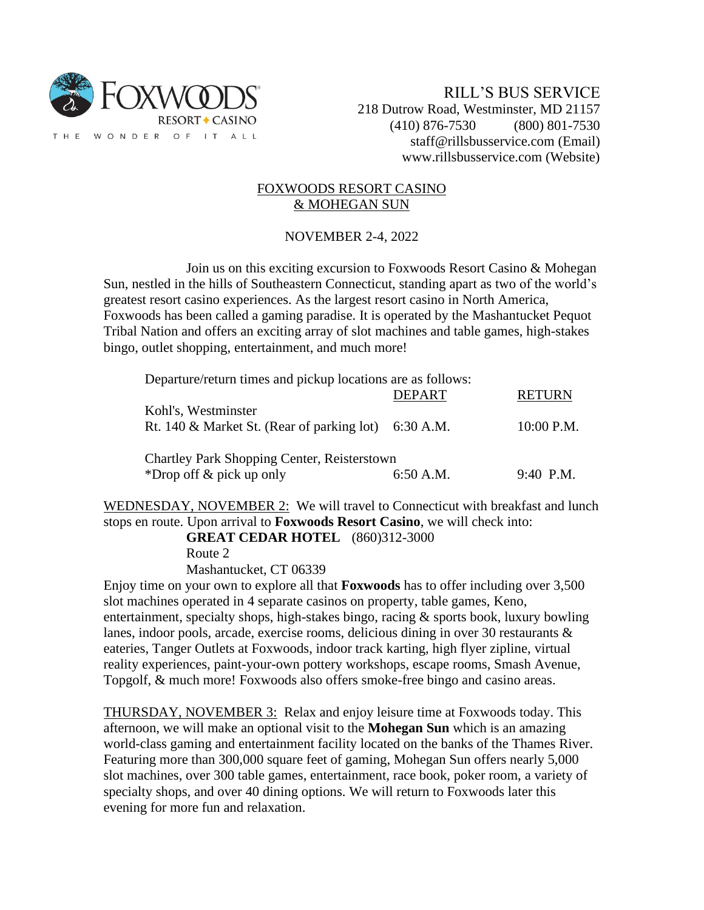

## FOXWOODS RESORT CASINO & MOHEGAN SUN

## NOVEMBER 2-4, 2022

Join us on this exciting excursion to Foxwoods Resort Casino & Mohegan Sun, nestled in the hills of Southeastern Connecticut, standing apart as two of the world's greatest resort casino experiences. As the largest resort casino in North America, Foxwoods has been called a gaming paradise. It is operated by the Mashantucket Pequot Tribal Nation and offers an exciting array of slot machines and table games, high-stakes bingo, outlet shopping, entertainment, and much more!

Departure/return times and pickup locations are as follows:

|                                                                               | <b>DEPART</b> | <b>RETURN</b> |
|-------------------------------------------------------------------------------|---------------|---------------|
| Kohl's, Westminster<br>Rt. 140 & Market St. (Rear of parking lot) $6:30$ A.M. |               | $10:00$ P.M.  |
| Chartley Park Shopping Center, Reisterstown                                   |               |               |
| *Drop of $\&$ pick up only                                                    | $6:50$ A.M.   | $9:40$ P.M.   |

WEDNESDAY, NOVEMBER 2: We will travel to Connecticut with breakfast and lunch stops en route. Upon arrival to **Foxwoods Resort Casino**, we will check into:

**GREAT CEDAR HOTEL** (860)312-3000

Route 2

Mashantucket, CT 06339

Enjoy time on your own to explore all that **Foxwoods** has to offer including over 3,500 slot machines operated in 4 separate casinos on property, table games, Keno, entertainment, specialty shops, high-stakes bingo, racing & sports book, luxury bowling lanes, indoor pools, arcade, exercise rooms, delicious dining in over 30 restaurants  $\&$ eateries, Tanger Outlets at Foxwoods, indoor track karting, high flyer zipline, virtual reality experiences, paint-your-own pottery workshops, escape rooms, Smash Avenue, Topgolf, & much more! Foxwoods also offers smoke-free bingo and casino areas.

THURSDAY, NOVEMBER 3: Relax and enjoy leisure time at Foxwoods today. This afternoon, we will make an optional visit to the **Mohegan Sun** which is an amazing world-class gaming and entertainment facility located on the banks of the Thames River. Featuring more than 300,000 square feet of gaming, Mohegan Sun offers nearly 5,000 slot machines, over 300 table games, entertainment, race book, poker room, a variety of specialty shops, and over 40 dining options. We will return to Foxwoods later this evening for more fun and relaxation.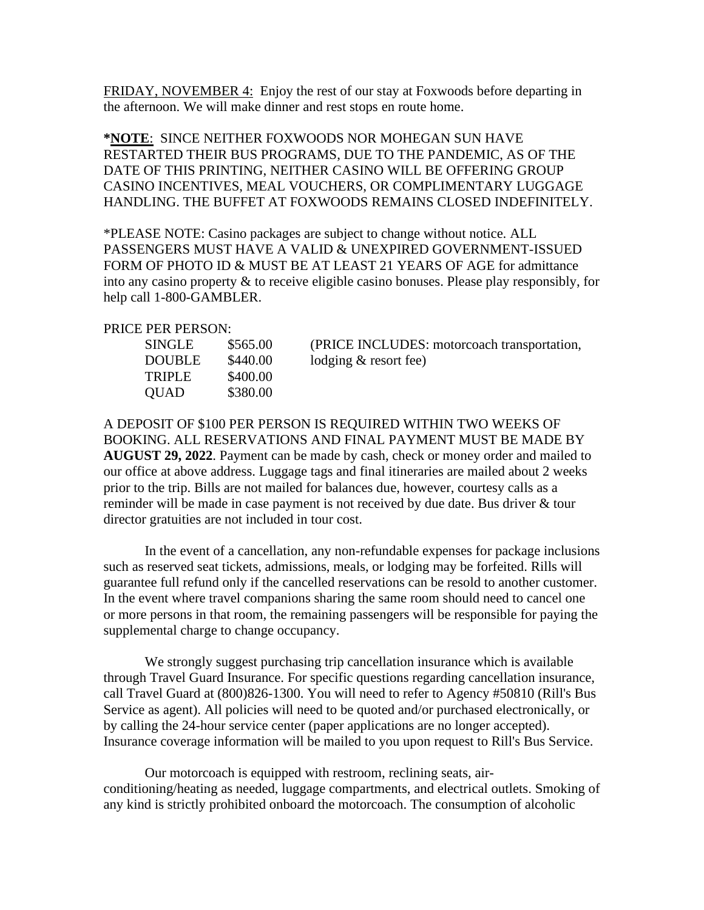FRIDAY, NOVEMBER 4: Enjoy the rest of our stay at Foxwoods before departing in the afternoon. We will make dinner and rest stops en route home.

**\*NOTE**: SINCE NEITHER FOXWOODS NOR MOHEGAN SUN HAVE RESTARTED THEIR BUS PROGRAMS, DUE TO THE PANDEMIC, AS OF THE DATE OF THIS PRINTING, NEITHER CASINO WILL BE OFFERING GROUP CASINO INCENTIVES, MEAL VOUCHERS, OR COMPLIMENTARY LUGGAGE HANDLING. THE BUFFET AT FOXWOODS REMAINS CLOSED INDEFINITELY.

\*PLEASE NOTE: Casino packages are subject to change without notice. ALL PASSENGERS MUST HAVE A VALID & UNEXPIRED GOVERNMENT-ISSUED FORM OF PHOTO ID & MUST BE AT LEAST 21 YEARS OF AGE for admittance into any casino property & to receive eligible casino bonuses. Please play responsibly, for help call 1-800-GAMBLER.

## PRICE PER PERSON:

| <b>SINGLE</b> | \$565.00 |
|---------------|----------|
| DOUBLE        | \$440.00 |
| TRIPLE        | \$400.00 |
| QUAD          | \$380.00 |
|               |          |

(PRICE INCLUDES: motorcoach transportation,  $\log_{10} \& \text{ resort fee}$ 

A DEPOSIT OF \$100 PER PERSON IS REQUIRED WITHIN TWO WEEKS OF BOOKING. ALL RESERVATIONS AND FINAL PAYMENT MUST BE MADE BY **AUGUST 29, 2022**. Payment can be made by cash, check or money order and mailed to our office at above address. Luggage tags and final itineraries are mailed about 2 weeks prior to the trip. Bills are not mailed for balances due, however, courtesy calls as a reminder will be made in case payment is not received by due date. Bus driver & tour director gratuities are not included in tour cost.

In the event of a cancellation, any non-refundable expenses for package inclusions such as reserved seat tickets, admissions, meals, or lodging may be forfeited. Rills will guarantee full refund only if the cancelled reservations can be resold to another customer. In the event where travel companions sharing the same room should need to cancel one or more persons in that room, the remaining passengers will be responsible for paying the supplemental charge to change occupancy.

We strongly suggest purchasing trip cancellation insurance which is available through Travel Guard Insurance. For specific questions regarding cancellation insurance, call Travel Guard at (800)826-1300. You will need to refer to Agency #50810 (Rill's Bus Service as agent). All policies will need to be quoted and/or purchased electronically, or by calling the 24-hour service center (paper applications are no longer accepted). Insurance coverage information will be mailed to you upon request to Rill's Bus Service.

Our motorcoach is equipped with restroom, reclining seats, airconditioning/heating as needed, luggage compartments, and electrical outlets. Smoking of any kind is strictly prohibited onboard the motorcoach. The consumption of alcoholic